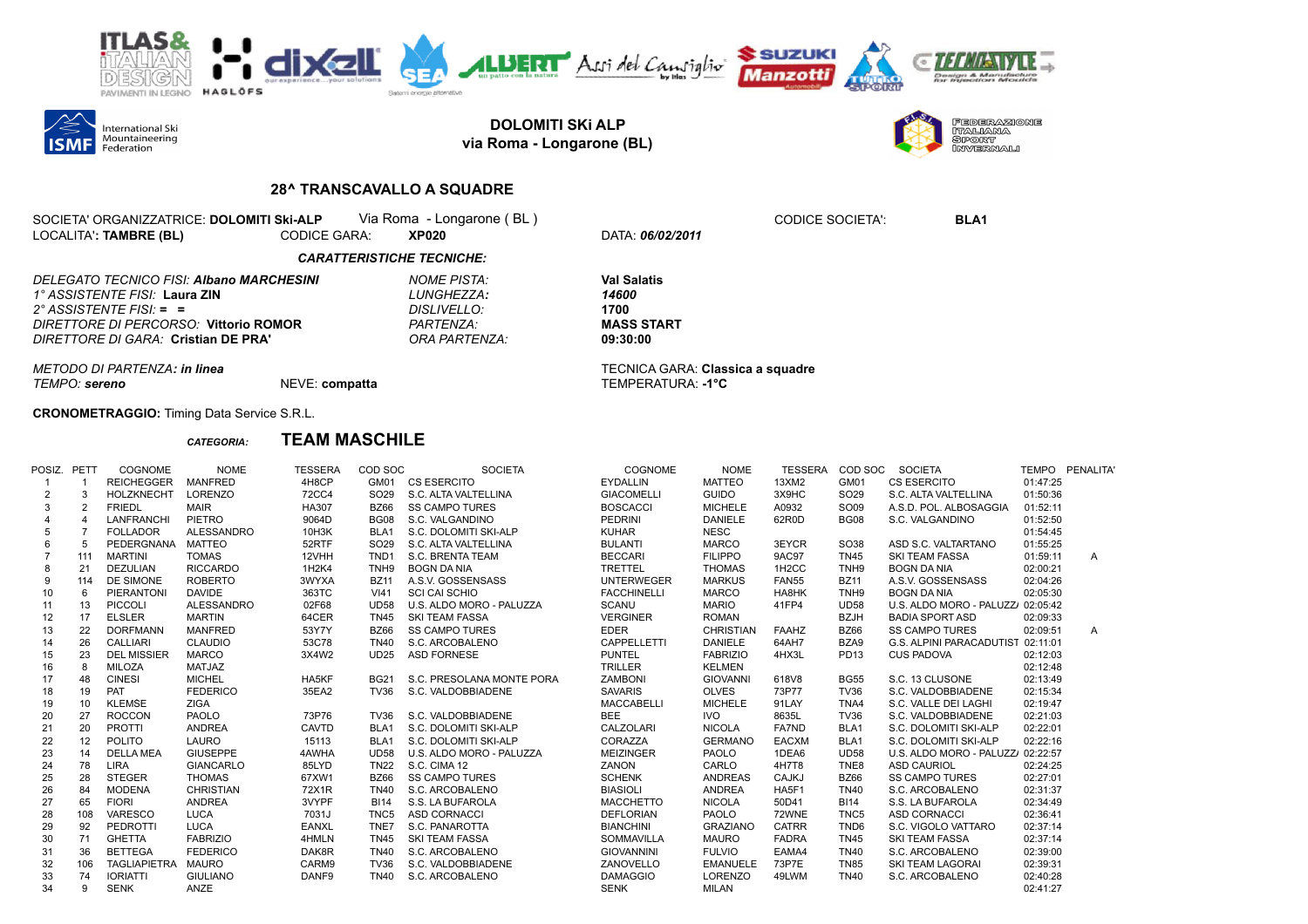



**DOLOMITI SKi ALP via Roma - Longarone (BL)**



## **28^ TRANSCAVALLO A SQUADRE**

| SOCIETA' ORGANIZZATRICE: DOLOMITI SKI-ALP |              | Via Roma - Longarone (BL) |  |
|-------------------------------------------|--------------|---------------------------|--|
| LOCALITA': TAMBRE (BL)                    | CODICE GARA: | <b>XP020</b>              |  |

LOCALITA'**: TAMBRE (BL)** CODICE GARA: **XP020** DATA: *06/02/2011*

CODICE SOCIETA': **BLA1** 

## *CARATTERISTICHE TECNICHE:*

| DELEGATO TECNICO FISI: <b>Albano MARCHESINI</b> | NOME PISTA:           | <b>Val Salatis</b> |
|-------------------------------------------------|-----------------------|--------------------|
| 1° ASSISTENTE FISI: Laura ZIN                   | LUNGHEZZA:            | 14600              |
| 2° ASSISTENTE FISI: $=$ $=$                     | DISLIVELLO:           | 1700               |
| DIRETTORE DI PERCORSO: Vittorio ROMOR           | PARTENZA <sup>.</sup> | MASS STA           |
| DIRETTORE DI GARA: Cristian DE PRA'             | ORA PARTENZA:         | 09:30:00           |

*DIRETTORE DI PERCORSO:* **Vittorio ROMOR** *PARTENZA:* **MASS START**

*METODO DI PARTENZA: in linea* TECNICA GARA: **Classica a squadre** *TEMPO: sereno* NEVE: **compatta** TEMPERATURA: **-1°C**

**CRONOMETRAGGIO:** Timing Data Service S.R.L.

## *CATEGORIA:* **TEAM MASCHILE**

| POSIZ. PETT |                | COGNOME             | <b>NOME</b>       | <b>TESSERA</b> | COD SOC          | <b>SOCIETA</b>            | COGNOME            | <b>NOME</b>      | <b>TESSERA</b>     | COD SOC          | <b>SOCIETA</b>                    |          | TEMPO PENALITA |
|-------------|----------------|---------------------|-------------------|----------------|------------------|---------------------------|--------------------|------------------|--------------------|------------------|-----------------------------------|----------|----------------|
|             |                | <b>REICHEGGER</b>   | <b>MANFRED</b>    | 4H8CP          | GM01             | <b>CS ESERCITO</b>        | <b>EYDALLIN</b>    | <b>MATTEO</b>    | 13XM2              | GM01             | <b>CS ESERCITO</b>                | 01:47:25 |                |
| 2           | 3              | <b>HOLZKNECHT</b>   | <b>LORENZO</b>    | <b>72CC4</b>   | SO <sub>29</sub> | S.C. ALTA VALTELLINA      | <b>GIACOMELLI</b>  | <b>GUIDO</b>     | 3X9HC              | SO <sub>29</sub> | S.C. ALTA VALTELLINA              | 01:50:36 |                |
| 3           | $\overline{2}$ | <b>FRIEDL</b>       | <b>MAIR</b>       | HA307          | <b>BZ66</b>      | <b>SS CAMPO TURES</b>     | <b>BOSCACCI</b>    | <b>MICHELE</b>   | A0932              | SO09             | A.S.D. POL. ALBOSAGGIA            | 01:52:11 |                |
|             |                | LANFRANCHI          | PIETRO            | 9064D          | <b>BG08</b>      | S.C. VALGANDINO           | PEDRINI            | <b>DANIELE</b>   | 62R0D              | <b>BG08</b>      | S.C. VALGANDINO                   | 01:52:50 |                |
| 5           | -7             | <b>FOLLADOR</b>     | <b>ALESSANDRO</b> | 10H3K          | BLA <sub>1</sub> | S.C. DOLOMITI SKI-ALP     | <b>KUHAR</b>       | <b>NESC</b>      |                    |                  |                                   | 01:54:45 |                |
| 6           | 5              | PEDERGNANA          | <b>MATTEO</b>     | 52RTF          | SO <sub>29</sub> | S.C. ALTA VALTELLINA      | <b>BULANTI</b>     | <b>MARCO</b>     | 3EYCR              | SO38             | ASD S.C. VALTARTANO               | 01:55:25 |                |
|             | 111            | <b>MARTINI</b>      | <b>TOMAS</b>      | 12VHH          | TND <sub>1</sub> | S.C. BRENTA TEAM          | <b>BECCARI</b>     | <b>FILIPPO</b>   | <b>9AC97</b>       | <b>TN45</b>      | <b>SKI TEAM FASSA</b>             | 01:59:11 | $\mathsf{A}$   |
| 8           | 21             | <b>DEZULIAN</b>     | <b>RICCARDO</b>   | 1H2K4          | TNH <sub>9</sub> | <b>BOGN DA NIA</b>        | <b>TRETTEL</b>     | <b>THOMAS</b>    | 1H <sub>2</sub> CC | TNH <sub>9</sub> | <b>BOGN DA NIA</b>                | 02:00:21 |                |
| 9           | 114            | <b>DE SIMONE</b>    | <b>ROBERTO</b>    | 3WYXA          | <b>BZ11</b>      | A.S.V. GOSSENSASS         | <b>UNTERWEGER</b>  | <b>MARKUS</b>    | <b>FAN55</b>       | <b>BZ11</b>      | A.S.V. GOSSENSASS                 | 02:04:26 |                |
| 10          | 6              | <b>PIERANTONI</b>   | <b>DAVIDE</b>     | 363TC          | V <sub>141</sub> | <b>SCI CAI SCHIO</b>      | <b>FACCHINELLI</b> | <b>MARCO</b>     | HA8HK              | TNH <sub>9</sub> | <b>BOGN DA NIA</b>                | 02:05:30 |                |
| 11          | 13             | <b>PICCOLI</b>      | <b>ALESSANDRO</b> | 02F68          | <b>UD58</b>      | U.S. ALDO MORO - PALUZZA  | <b>SCANU</b>       | <b>MARIO</b>     | 41FP4              | <b>UD58</b>      | U.S. ALDO MORO - PALUZZ 02:05:42  |          |                |
| 12          | 17             | <b>ELSLER</b>       | <b>MARTIN</b>     | 64CER          | <b>TN45</b>      | <b>SKI TEAM FASSA</b>     | <b>VERGINER</b>    | <b>ROMAN</b>     |                    | <b>BZJH</b>      | <b>BADIA SPORT ASD</b>            | 02:09:33 |                |
| 13          | 22             | <b>DORFMANN</b>     | <b>MANFRED</b>    | 53Y7Y          | <b>BZ66</b>      | <b>SS CAMPO TURES</b>     | <b>EDER</b>        | <b>CHRISTIAN</b> | <b>FAAHZ</b>       | <b>BZ66</b>      | <b>SS CAMPO TURES</b>             | 02:09:51 | $\mathsf{A}$   |
| 14          | 26             | <b>CALLIARI</b>     | <b>CLAUDIO</b>    | 53C78          | <b>TN40</b>      | S.C. ARCOBALENO           | CAPPELLETTI        | <b>DANIELE</b>   | 64AH7              | BZA9             | G.S. ALPINI PARACADUTIST 02:11:01 |          |                |
| 15          | 23             | <b>DEL MISSIER</b>  | <b>MARCO</b>      | 3X4W2          | <b>UD25</b>      | <b>ASD FORNESE</b>        | <b>PUNTEL</b>      | <b>FABRIZIO</b>  | 4HX3L              | PD13             | <b>CUS PADOVA</b>                 | 02:12:03 |                |
| 16          | 8              | <b>MILOZA</b>       | MATJAZ            |                |                  |                           | <b>TRILLER</b>     | <b>KELMEN</b>    |                    |                  |                                   | 02:12:48 |                |
| 17          | 48             | <b>CINESI</b>       | <b>MICHEL</b>     | HA5KF          | <b>BG21</b>      | S.C. PRESOLANA MONTE PORA | <b>ZAMBONI</b>     | <b>GIOVANNI</b>  | 618V8              | <b>BG55</b>      | S.C. 13 CLUSONE                   | 02:13:49 |                |
| 18          | 19             | PAT                 | <b>FEDERICO</b>   | 35EA2          | <b>TV36</b>      | S.C. VALDOBBIADENE        | <b>SAVARIS</b>     | <b>OLVES</b>     | 73P77              | <b>TV36</b>      | S.C. VALDOBBIADENE                | 02:15:34 |                |
| 19          | 10             | KLEMŠE              | <b>ZIGA</b>       |                |                  |                           | MACCABELLI         | <b>MICHELE</b>   | 91LAY              | TNA4             | S.C. VALLE DEI LAGHI              | 02:19:47 |                |
| 20          | 27             | <b>ROCCON</b>       | PAOLO             | 73P76          | <b>TV36</b>      | S.C. VALDOBBIADENE        | <b>BEE</b>         | <b>IVO</b>       | 8635L              | <b>TV36</b>      | S.C. VALDOBBIADENE                | 02:21:03 |                |
| 21          | 20             | <b>PROTTI</b>       | <b>ANDREA</b>     | CAVTD          | BLA <sub>1</sub> | S.C. DOLOMITI SKI-ALP     | CALZOLARI          | <b>NICOLA</b>    | FA7ND              | BLA1             | S.C. DOLOMITI SKI-ALP             | 02:22:01 |                |
| 22          | 12             | <b>POLITO</b>       | LAURO             | 15113          | BLA <sub>1</sub> | S.C. DOLOMITI SKI-ALP     | CORAZZA            | <b>GERMANO</b>   | <b>EACXM</b>       | BLA <sub>1</sub> | S.C. DOLOMITI SKI-ALP             | 02:22:16 |                |
| 23          | 14             | <b>DELLA MEA</b>    | <b>GIUSEPPE</b>   | 4AWHA          | <b>UD58</b>      | U.S. ALDO MORO - PALUZZA  | <b>MEIZINGER</b>   | <b>PAOLO</b>     | 1DEA6              | <b>UD58</b>      | U.S. ALDO MORO - PALUZZ 02:22:57  |          |                |
| 24          | 78             | <b>LIRA</b>         | <b>GIANCARLO</b>  | 85LYD          | <b>TN22</b>      | S.C. CIMA 12              | ZANON              | CARLO            | 4H7T8              | TNE8             | <b>ASD CAURIOL</b>                | 02:24:25 |                |
| 25          | 28             | <b>STEGER</b>       | <b>THOMAS</b>     | 67XW1          | <b>BZ66</b>      | <b>SS CAMPO TURES</b>     | <b>SCHENK</b>      | <b>ANDREAS</b>   | CAJKJ              | <b>BZ66</b>      | <b>SS CAMPO TURES</b>             | 02:27:01 |                |
| 26          | 84             | <b>MODENA</b>       | <b>CHRISTIAN</b>  | 72X1R          | <b>TN40</b>      | S.C. ARCOBALENO           | <b>BIASIOLI</b>    | <b>ANDREA</b>    | HA5F1              | <b>TN40</b>      | S.C. ARCOBALENO                   | 02:31:37 |                |
| 27          | 65             | <b>FIORI</b>        | <b>ANDREA</b>     | 3VYPF          | <b>BI14</b>      | S.S. LA BUFAROLA          | <b>MACCHETTO</b>   | <b>NICOLA</b>    | 50D41              | <b>BI14</b>      | S.S. LA BUFAROLA                  | 02:34:49 |                |
| 28          | 108            | VARESCO             | <b>LUCA</b>       | 7031J          | TNC <sub>5</sub> | <b>ASD CORNACCI</b>       | <b>DEFLORIAN</b>   | PAOLO            | 72WNE              | TNC <sub>5</sub> | <b>ASD CORNACCI</b>               | 02:36:41 |                |
| 29          | 92             | PEDROTTI            | <b>LUCA</b>       | <b>EANXL</b>   | TNE7             | S.C. PANAROTTA            | <b>BIANCHINI</b>   | <b>GRAZIANO</b>  | <b>CATRR</b>       | TND <sub>6</sub> | S.C. VIGOLO VATTARO               | 02:37:14 |                |
| 30          | 71             | <b>GHETTA</b>       | <b>FABRIZIO</b>   | 4HMLN          | <b>TN45</b>      | <b>SKI TEAM FASSA</b>     | <b>SOMMAVILLA</b>  | <b>MAURO</b>     | <b>FADRA</b>       | <b>TN45</b>      | <b>SKI TEAM FASSA</b>             | 02:37:14 |                |
| 31          | 36             | <b>BETTEGA</b>      | <b>FEDERICO</b>   | DAK8R          | <b>TN40</b>      | S.C. ARCOBALENO           | <b>GIOVANNINI</b>  | <b>FULVIO</b>    | EAMA4              | <b>TN40</b>      | S.C. ARCOBALENO                   | 02:39:00 |                |
| 32          | 106            | <b>TAGLIAPIETRA</b> | <b>MAURO</b>      | CARM9          | <b>TV36</b>      | S.C. VALDOBBIADENE        | ZANOVELLO          | <b>EMANUELE</b>  | 73P7E              | <b>TN85</b>      | <b>SKI TEAM LAGORAI</b>           | 02:39:31 |                |
| 33          | 74             | <b>IORIATTI</b>     | <b>GIULIANO</b>   | DANF9          | <b>TN40</b>      | S.C. ARCOBALENO           | <b>DAMAGGIO</b>    | <b>LORENZO</b>   | 49LWM              | <b>TN40</b>      | S.C. ARCOBALENO                   | 02:40:28 |                |
| 34          | ٩              | <b>SENK</b>         | ANZE              |                |                  |                           | <b>SENK</b>        | <b>MILAN</b>     |                    |                  |                                   | 02:41:27 |                |
|             |                |                     |                   |                |                  |                           |                    |                  |                    |                  |                                   |          |                |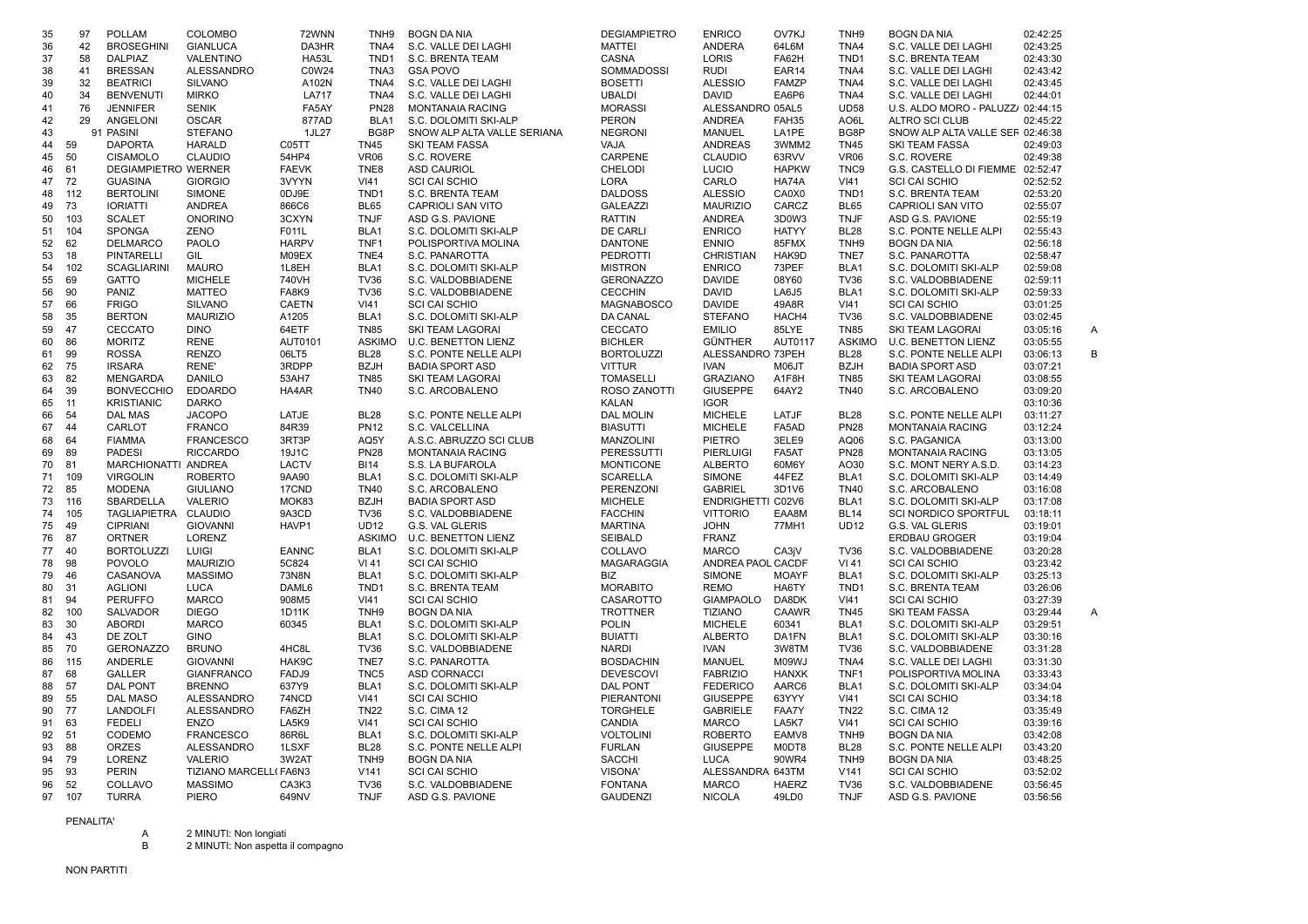| 35 | 97  | <b>POLLAM</b>              | <b>COLOMBO</b>        | 72WNN        | TNH9             | <b>BOGN DA NIA</b>          | <b>DEGIAMPIETRO</b> | <b>ENRICO</b>            | OV7KJ        | TNH9             | <b>BOGN DA NIA</b>               | 02:42:25      |
|----|-----|----------------------------|-----------------------|--------------|------------------|-----------------------------|---------------------|--------------------------|--------------|------------------|----------------------------------|---------------|
| 36 | 42  | <b>BROSEGHINI</b>          | <b>GIANLUCA</b>       | DA3HR        | TNA4             | S.C. VALLE DEI LAGHI        | <b>MATTEI</b>       | <b>ANDERA</b>            | 64L6M        | TNA4             | S.C. VALLE DEI LAGHI             | 02:43:25      |
| 37 | 58  | <b>DALPIAZ</b>             | VALENTINO             | <b>HA53L</b> | TND <sub>1</sub> | S.C. BRENTA TEAM            | CASNA               | LORIS                    | FA62H        | TND <sub>1</sub> | S.C. BRENTA TEAM                 | 02:43:30      |
| 38 | 41  | <b>BRESSAN</b>             | ALESSANDRO            | C0W24        | TNA3             | <b>GSA POVO</b>             | SOMMADOSSI          | <b>RUDI</b>              | EAR14        | TNA4             | S.C. VALLE DEI LAGHI             | 02:43:42      |
| 39 | 32  | <b>BEATRICI</b>            | <b>SILVANO</b>        | A102N        | TNA4             | S.C. VALLE DEI LAGHI        | <b>BOSETTI</b>      | <b>ALESSIO</b>           | <b>FAMZP</b> | TNA4             | S.C. VALLE DEI LAGHI             | 02:43:45      |
| 40 | 34  | <b>BENVENUTI</b>           | <b>MIRKO</b>          | <b>LA717</b> | TNA4             | S.C. VALLE DEI LAGHI        | <b>UBALDI</b>       | <b>DAVID</b>             | EA6P6        | TNA4             | S.C. VALLE DEI LAGHI             | 02:44:01      |
| 41 | 76  | <b>JENNIFER</b>            | <b>SENIK</b>          | FA5AY        | <b>PN28</b>      | <b>MONTANAIA RACING</b>     | <b>MORASSI</b>      | ALESSANDRO 05AL5         |              | <b>UD58</b>      | U.S. ALDO MORO - PALUZZ 02:44:15 |               |
| 42 | 29  | ANGELONI                   | <b>OSCAR</b>          | 877AD        | BLA1             | S.C. DOLOMITI SKI-ALP       | <b>PERON</b>        | <b>ANDREA</b>            | FAH35        | AO6L             | <b>ALTRO SCI CLUB</b>            | 02:45:22      |
| 43 | 91  | <b>PASINI</b>              | <b>STEFANO</b>        | 1JL27        | BG8P             | SNOW ALP ALTA VALLE SERIANA | <b>NEGRONI</b>      | <b>MANUEL</b>            | LA1PE        | BG8P             | SNOW ALP ALTA VALLE SEF 02:46:38 |               |
| 44 | 59  | <b>DAPORTA</b>             | <b>HARALD</b>         | C05TT        | <b>TN45</b>      | SKI TEAM FASSA              | VAJA                | <b>ANDREAS</b>           | 3WMM2        | <b>TN45</b>      | SKI TEAM FASSA                   | 02:49:03      |
|    | 50  | <b>CISAMOLO</b>            | <b>CLAUDIO</b>        | 54HP4        | <b>VR06</b>      | S.C. ROVERE                 | CARPENE             | <b>CLAUDIO</b>           | 63RVV        | <b>VR06</b>      | S.C. ROVERE                      | 02:49:38      |
| 45 |     |                            |                       |              |                  |                             |                     |                          |              |                  |                                  |               |
| 46 | 61  | <b>DEGIAMPIETRO WERNER</b> |                       | <b>FAEVK</b> | TNE <sub>8</sub> | <b>ASD CAURIOL</b>          | <b>CHELODI</b>      | LUCIO                    | <b>HAPKW</b> | TNC <sub>9</sub> | G.S. CASTELLO DI FIEMME 02:52:47 |               |
| 47 | 72  | <b>GUASINA</b>             | <b>GIORGIO</b>        | 3VYYN        | VI41             | <b>SCI CAI SCHIO</b>        | <b>LORA</b>         | CARLO                    | HA74A        | V <sub>141</sub> | <b>SCI CAI SCHIO</b>             | 02:52:52      |
| 48 | 112 | <b>BERTOLINI</b>           | SIMONE                | 0DJ9E        | TND1             | S.C. BRENTA TEAM            | <b>DALDOSS</b>      | <b>ALESSIO</b>           | CA0X0        | TND <sub>1</sub> | S.C. BRENTA TEAM                 | 02:53:20      |
| 49 | 73  | <b>IORIATTI</b>            | <b>ANDREA</b>         | 866C6        | <b>BL65</b>      | CAPRIOLI SAN VITO           | <b>GALEAZZI</b>     | <b>MAURIZIO</b>          | CARCZ        | <b>BL65</b>      | CAPRIOLI SAN VITO                | 02:55:07      |
| 50 | 103 | <b>SCALET</b>              | <b>ONORINO</b>        | 3CXYN        | <b>TNJF</b>      | ASD G.S. PAVIONE            | <b>RATTIN</b>       | <b>ANDREA</b>            | 3D0W3        | <b>TNJF</b>      | ASD G.S. PAVIONE                 | 02:55:19      |
| 51 | 104 | <b>SPONGA</b>              | ZENO                  | F011L        | BLA1             | S.C. DOLOMITI SKI-ALP       | <b>DE CARLI</b>     | <b>ENRICO</b>            | <b>HATYY</b> | <b>BL28</b>      | S.C. PONTE NELLE ALPI            | 02:55:43      |
| 52 | 62  | <b>DELMARCO</b>            | PAOLO                 | <b>HARPV</b> | TNF1             | POLISPORTIVA MOLINA         | <b>DANTONE</b>      | <b>ENNIO</b>             | 85FMX        | TNH <sub>9</sub> | <b>BOGN DA NIA</b>               | 02:56:18      |
| 53 | 18  | <b>PINTARELLI</b>          | GIL                   | M09EX        | TNE4             | S.C. PANAROTTA              | <b>PEDROTTI</b>     | <b>CHRISTIAN</b>         | HAK9D        | TNE7             | S.C. PANAROTTA                   | 02:58:47      |
| 54 | 102 | <b>SCAGLIARINI</b>         | <b>MAURO</b>          | 1L8EH        | BLA1             | S.C. DOLOMITI SKI-ALP       | <b>MISTRON</b>      | <b>ENRICO</b>            | 73PEF        | BLA1             | S.C. DOLOMITI SKI-ALP            | 02:59:08      |
| 55 | 69  | <b>GATTO</b>               | <b>MICHELE</b>        | 740VH        | <b>TV36</b>      | S.C. VALDOBBIADENE          | <b>GERONAZZO</b>    | <b>DAVIDE</b>            | 08Y60        | <b>TV36</b>      | S.C. VALDOBBIADENE               | 02:59:11      |
| 56 | 90  | PANIZ                      | <b>MATTEO</b>         | FA8K9        | <b>TV36</b>      | S.C. VALDOBBIADENE          | <b>CECCHIN</b>      | <b>DAVID</b>             | <b>LA6J5</b> | BLA1             | S.C. DOLOMITI SKI-ALP            | 02:59:33      |
| 57 | 66  | <b>FRIGO</b>               | <b>SILVANO</b>        | <b>CAETN</b> | VI41             | <b>SCI CAI SCHIO</b>        | MAGNABOSCO          | <b>DAVIDE</b>            | 49A8R        | V <sub>141</sub> | <b>SCI CAI SCHIO</b>             | 03:01:25      |
| 58 | 35  | <b>BERTON</b>              | <b>MAURIZIO</b>       | A1205        | BLA1             | S.C. DOLOMITI SKI-ALP       | DA CANAL            | <b>STEFANO</b>           | HACH4        | <b>TV36</b>      | S.C. VALDOBBIADENE               | 03:02:45      |
| 59 | 47  | <b>CECCATO</b>             | <b>DINO</b>           | 64ETF        | <b>TN85</b>      | <b>SKI TEAM LAGORAI</b>     | CECCATO             | <b>EMILIO</b>            | 85LYE        | <b>TN85</b>      | SKI TEAM LAGORAI                 | A<br>03:05:16 |
| 60 | 86  | <b>MORITZ</b>              | <b>RENE</b>           | AUT0101      | <b>ASKIMO</b>    | <b>U.C. BENETTON LIENZ</b>  | <b>BICHLER</b>      | <b>GÜNTHER</b>           | AUT0117      | <b>ASKIMO</b>    | <b>U.C. BENETTON LIENZ</b>       | 03:05:55      |
|    | 99  | <b>ROSSA</b>               | <b>RENZO</b>          | 06LT5        | <b>BL28</b>      | S.C. PONTE NELLE ALPI       |                     | ALESSANDRO 73PEH         |              | <b>BL28</b>      |                                  | B             |
| 61 |     |                            |                       |              |                  |                             | <b>BORTOLUZZI</b>   |                          |              |                  | S.C. PONTE NELLE ALPI            | 03:06:13      |
| 62 | 75  | <b>IRSARA</b>              | RENE'                 | 3RDPP        | <b>BZJH</b>      | <b>BADIA SPORT ASD</b>      | <b>VITTUR</b>       | <b>IVAN</b>              | M06JT        | <b>BZJH</b>      | <b>BADIA SPORT ASD</b>           | 03:07:21      |
| 63 | 82  | <b>MENGARDA</b>            | <b>DANILO</b>         | 53AH7        | <b>TN85</b>      | <b>SKI TEAM LAGORAI</b>     | <b>TOMASELLI</b>    | <b>GRAZIANO</b>          | A1F8H        | <b>TN85</b>      | SKI TEAM LAGORAI                 | 03:08:55      |
| 64 | 39  | <b>BONVECCHIO</b>          | <b>EDOARDO</b>        | HA4AR        | <b>TN40</b>      | S.C. ARCOBALENO             | ROSO ZANOTTI        | <b>GIUSEPPE</b>          | 64AY2        | <b>TN40</b>      | S.C. ARCOBALENO                  | 03:09:20      |
| 65 | 11  | <b>KRISTIANIC</b>          | <b>DARKO</b>          |              |                  |                             | <b>KALAN</b>        | <b>IGOR</b>              |              |                  |                                  | 03:10:36      |
| 66 | 54  | <b>DAL MAS</b>             | <b>JACOPO</b>         | LATJE        | <b>BL28</b>      | S.C. PONTE NELLE ALPI       | <b>DAL MOLIN</b>    | <b>MICHELE</b>           | LATJF        | <b>BL28</b>      | S.C. PONTE NELLE ALPI            | 03:11:27      |
| 67 | 44  | CARLOT                     | <b>FRANCO</b>         | 84R39        | <b>PN12</b>      | S.C. VALCELLINA             | <b>BIASUTTI</b>     | <b>MICHELE</b>           | FA5AD        | <b>PN28</b>      | <b>MONTANAIA RACING</b>          | 03:12:24      |
| 68 | 64  | <b>FIAMMA</b>              | <b>FRANCESCO</b>      | 3RT3P        | AQ5Y             | A.S.C. ABRUZZO SCI CLUB     | <b>MANZOLINI</b>    | <b>PIETRO</b>            | 3ELE9        | AQ06             | S.C. PAGANICA                    | 03:13:00      |
| 69 | 89  | <b>PADESI</b>              | <b>RICCARDO</b>       | 19J1C        | <b>PN28</b>      | MONTANAIA RACING            | PERESSUTTI          | PIERLUIGI                | FA5AT        | <b>PN28</b>      | MONTANAIA RACING                 | 03:13:05      |
| 70 | 81  | MARCHIONATTI ANDREA        |                       | LACTV        | <b>BI14</b>      | S.S. LA BUFAROLA            | <b>MONTICONE</b>    | <b>ALBERTO</b>           | 60M6Y        | AO30             | S.C. MONT NERY A.S.D.            | 03:14:23      |
| 71 | 109 | <b>VIRGOLIN</b>            | <b>ROBERTO</b>        | 9AA90        | BLA <sub>1</sub> | S.C. DOLOMITI SKI-ALP       | <b>SCARELLA</b>     | <b>SIMONE</b>            | 44FEZ        | BLA <sub>1</sub> | S.C. DOLOMITI SKI-ALP            | 03:14:49      |
| 72 | 85  | <b>MODENA</b>              | <b>GIULIANO</b>       | 17CND        | <b>TN40</b>      | S.C. ARCOBALENO             | PERENZONI           | <b>GABRIEL</b>           | 3D1V6        | <b>TN40</b>      | S.C. ARCOBALENO                  | 03:16:08      |
| 73 | 116 | SBARDELLA                  | <b>VALERIO</b>        | MOK83        | <b>BZJH</b>      | <b>BADIA SPORT ASD</b>      | <b>MICHELE</b>      | <b>ENDRIGHETTI C02V6</b> |              | BLA1             | S.C. DOLOMITI SKI-ALP            | 03:17:08      |
| 74 | 105 | TAGLIAPIETRA CLAUDIO       |                       | 9A3CD        | <b>TV36</b>      | S.C. VALDOBBIADENE          | <b>FACCHIN</b>      | <b>VITTORIO</b>          | EAA8M        | <b>BL14</b>      | <b>SCI NORDICO SPORTFUL</b>      | 03:18:11      |
| 75 | 49  | <b>CIPRIANI</b>            | <b>GIOVANNI</b>       | HAVP1        | <b>UD12</b>      | G.S. VAL GLERIS             | <b>MARTINA</b>      | <b>JOHN</b>              | 77MH1        | <b>UD12</b>      | G.S. VAL GLERIS                  | 03:19:01      |
| 76 | 87  | <b>ORTNER</b>              | <b>LORENZ</b>         |              | <b>ASKIMO</b>    | <b>U.C. BENETTON LIENZ</b>  | <b>SEIBALD</b>      | FRANZ                    |              |                  | <b>ERDBAU GROGER</b>             | 03:19:04      |
| 77 | 40  | <b>BORTOLUZZI</b>          | LUIGI                 | <b>EANNC</b> | BLA1             | S.C. DOLOMITI SKI-ALP       | COLLAVO             | <b>MARCO</b>             | CA3jV        | <b>TV36</b>      | S.C. VALDOBBIADENE               | 03:20:28      |
| 78 | 98  | POVOLO                     | <b>MAURIZIO</b>       | 5C824        | VI 41            | <b>SCI CAI SCHIO</b>        | MAGARAGGIA          | ANDREA PAOL CACDF        |              | VI 41            | <b>SCI CAI SCHIO</b>             | 03:23:42      |
| 79 | 46  | CASANOVA                   | <b>MASSIMO</b>        |              | BLA1             | S.C. DOLOMITI SKI-ALP       | <b>BIZ</b>          | <b>SIMONE</b>            | <b>MOAYF</b> | BLA1             | S.C. DOLOMITI SKI-ALP            | 03:25:13      |
|    |     |                            |                       | 73N8N        |                  |                             |                     |                          |              |                  |                                  |               |
| 80 | 31  | <b>AGLIONI</b>             | <b>LUCA</b>           | DAML6        | TND1             | S.C. BRENTA TEAM            | <b>MORABITO</b>     | <b>REMO</b>              | HA6TY        | TND1             | S.C. BRENTA TEAM                 | 03:26:06      |
| 81 | 94  | <b>PERUFFO</b>             | <b>MARCO</b>          | 908M5        | VI41             | <b>SCI CAI SCHIO</b>        | CASAROTTO           | <b>GIAMPAOLO</b>         | DA8DK        | VI41             | <b>SCI CAI SCHIO</b>             | 03:27:39      |
| 82 | 100 | SALVADOR                   | <b>DIEGO</b>          | 1D11K        | TNH <sub>9</sub> | <b>BOGN DA NIA</b>          | <b>TROTTNER</b>     | <b>TIZIANO</b>           | CAAWR        | <b>TN45</b>      | <b>SKI TEAM FASSA</b>            | 03:29:44<br>A |
| 83 | 30  | <b>ABORDI</b>              | <b>MARCO</b>          | 60345        | BLA <sub>1</sub> | S.C. DOLOMITI SKI-ALP       | <b>POLIN</b>        | <b>MICHELE</b>           | 60341        | BLA <sub>1</sub> | S.C. DOLOMITI SKI-ALP            | 03:29:51      |
| 84 | 43  | DE ZOLT                    | <b>GINO</b>           |              | BLA1             | S.C. DOLOMITI SKI-ALP       | <b>BUIATTI</b>      | <b>ALBERTO</b>           | DA1FN        | BLA1             | S.C. DOLOMITI SKI-ALP            | 03:30:16      |
| 85 | 70  | <b>GERONAZZO</b>           | <b>BRUNO</b>          | 4HC8L        | <b>TV36</b>      | S.C. VALDOBBIADENE          | <b>NARDI</b>        | <b>IVAN</b>              | 3W8TM        | <b>TV36</b>      | S.C. VALDOBBIADENE               | 03:31:28      |
| 86 | 115 | <b>ANDERLE</b>             | <b>GIOVANNI</b>       | HAK9C        | TNE7             | S.C. PANAROTTA              | <b>BOSDACHIN</b>    | <b>MANUEL</b>            | M09WJ        | TNA4             | S.C. VALLE DEI LAGHI             | 03:31:30      |
| 87 | 68  | <b>GALLER</b>              | <b>GIANFRANCO</b>     | FADJ9        | TNC <sub>5</sub> | <b>ASD CORNACCI</b>         | <b>DEVESCOVI</b>    | <b>FABRIZIO</b>          | <b>HANXK</b> | TNF1             | POLISPORTIVA MOLINA              | 03:33:43      |
| 88 | 57  | <b>DAL PONT</b>            | <b>BRENNO</b>         | 637Y9        | BLA1             | S.C. DOLOMITI SKI-ALP       | <b>DAL PONT</b>     | <b>FEDERICO</b>          | AARC6        | BLA1             | S.C. DOLOMITI SKI-ALP            | 03:34:04      |
| 89 | 55  | <b>DAL MASO</b>            | ALESSANDRO            | 74NCD        | VI41             | <b>SCI CAI SCHIO</b>        | PIERANTONI          | <b>GIUSEPPE</b>          | 63YYY        | <b>VI41</b>      | <b>SCI CAI SCHIO</b>             | 03:34:18      |
| 90 | 77  | <b>LANDOLFI</b>            | ALESSANDRO            | FA6ZH        | <b>TN22</b>      | S.C. CIMA 12                | <b>TORGHELE</b>     | <b>GABRIELE</b>          | FAA7Y        | <b>TN22</b>      | <b>S.C. CIMA 12</b>              | 03:35:49      |
| 91 | 63  | <b>FEDELI</b>              | <b>ENZO</b>           | LA5K9        | <b>VI41</b>      | <b>SCI CAI SCHIO</b>        | CANDIA              | <b>MARCO</b>             | LA5K7        | VI41             | <b>SCI CAI SCHIO</b>             | 03:39:16      |
| 92 | 51  | CODEMO                     | <b>FRANCESCO</b>      | 86R6L        | BLA1             | S.C. DOLOMITI SKI-ALP       | <b>VOLTOLINI</b>    | <b>ROBERTO</b>           | EAMV8        | TNH <sub>9</sub> | <b>BOGN DA NIA</b>               | 03:42:08      |
| 93 | 88  | <b>ORZES</b>               | ALESSANDRO            | 1LSXF        | <b>BL28</b>      | S.C. PONTE NELLE ALPI       | <b>FURLAN</b>       | <b>GIUSEPPE</b>          | M0DT8        | <b>BL28</b>      | S.C. PONTE NELLE ALPI            | 03:43:20      |
| 94 | 79  | LORENZ                     | <b>VALERIO</b>        | 3W2AT        | TNH <sub>9</sub> | <b>BOGN DA NIA</b>          | <b>SACCHI</b>       | <b>LUCA</b>              | 90WR4        | TNH <sub>9</sub> | <b>BOGN DA NIA</b>               | 03:48:25      |
|    | 93  | PERIN                      |                       |              | V <sub>141</sub> |                             |                     |                          |              | V <sub>141</sub> |                                  |               |
| 95 |     |                            | TIZIANO MARCELL(FA6N3 |              |                  | <b>SCI CAI SCHIO</b>        | VISONA'             | ALESSANDRA 643TM         |              |                  | <b>SCI CAI SCHIO</b>             | 03:52:02      |
| 96 | 52  | COLLAVO                    | <b>MASSIMO</b>        | CA3K3        | <b>TV36</b>      | S.C. VALDOBBIADENE          | <b>FONTANA</b>      | <b>MARCO</b>             | <b>HAERZ</b> | <b>TV36</b>      | S.C. VALDOBBIADENE               | 03:56:45      |
| 97 | 107 | <b>TURRA</b>               | <b>PIERO</b>          | 649NV        | <b>TNJF</b>      | ASD G.S. PAVIONE            | <b>GAUDENZI</b>     | <b>NICOLA</b>            | 49LD0        | <b>TNJF</b>      | ASD G.S. PAVIONE                 | 03:56:56      |

PENALITA'

A 2 MINUTI: Non longiati B 2 MINUTI: Non aspetta il compagno

NON PARTITI